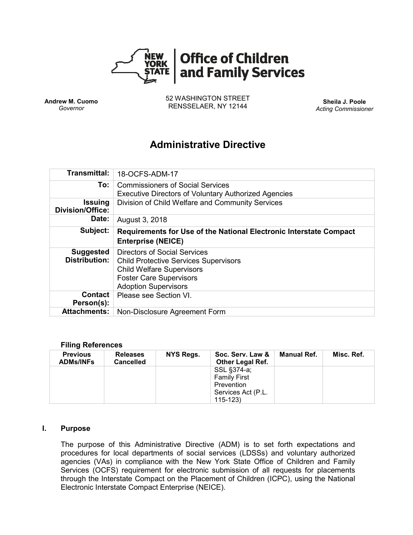

**Andrew M. Cuomo** *Governor*

52 WASHINGTON STREET RENSSELAER, NY 12144 **Sheila J. Poole**

*Acting Commissioner*

# **Administrative Directive**

| Transmittal:                              | 18-OCFS-ADM-17                                                                                                                                                                           |  |  |  |  |
|-------------------------------------------|------------------------------------------------------------------------------------------------------------------------------------------------------------------------------------------|--|--|--|--|
| To:                                       | <b>Commissioners of Social Services</b><br><b>Executive Directors of Voluntary Authorized Agencies</b>                                                                                   |  |  |  |  |
| <b>Issuing</b><br><b>Division/Office:</b> | Division of Child Welfare and Community Services                                                                                                                                         |  |  |  |  |
| Date:                                     | August 3, 2018                                                                                                                                                                           |  |  |  |  |
| Subject:                                  | Requirements for Use of the National Electronic Interstate Compact<br><b>Enterprise (NEICE)</b>                                                                                          |  |  |  |  |
| <b>Suggested</b><br><b>Distribution:</b>  | <b>Directors of Social Services</b><br><b>Child Protective Services Supervisors</b><br><b>Child Welfare Supervisors</b><br><b>Foster Care Supervisors</b><br><b>Adoption Supervisors</b> |  |  |  |  |
| <b>Contact</b><br>Person(s):              | Please see Section VI.                                                                                                                                                                   |  |  |  |  |
| <b>Attachments:</b>                       | Non-Disclosure Agreement Form                                                                                                                                                            |  |  |  |  |

#### **Filing References**

| <b>Previous</b><br><b>ADMs/INFs</b> | <b>Releases</b><br><b>Cancelled</b> | NYS Regs. | Soc. Serv. Law &<br><b>Other Legal Ref.</b> | Manual Ref. | Misc. Ref. |
|-------------------------------------|-------------------------------------|-----------|---------------------------------------------|-------------|------------|
|                                     |                                     |           | SSL §374-a;                                 |             |            |
|                                     |                                     |           | <b>Family First</b>                         |             |            |
|                                     |                                     |           | Prevention                                  |             |            |
|                                     |                                     |           | Services Act (P.L.                          |             |            |
|                                     |                                     |           | $115 - 123$                                 |             |            |

#### **I. Purpose**

The purpose of this Administrative Directive (ADM) is to set forth expectations and procedures for local departments of social services (LDSSs) and voluntary authorized agencies (VAs) in compliance with the New York State Office of Children and Family Services (OCFS) requirement for electronic submission of all requests for placements through the Interstate Compact on the Placement of Children (ICPC), using the National Electronic Interstate Compact Enterprise (NEICE).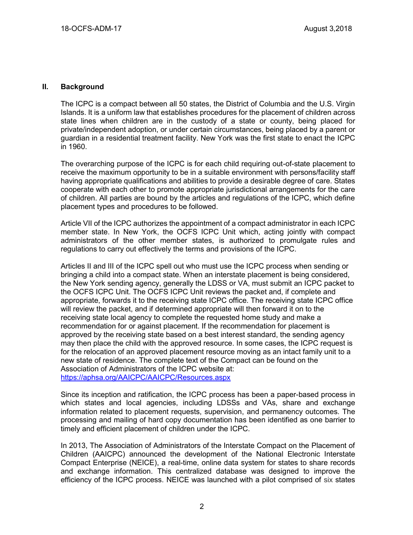### **II. Background**

The ICPC is a compact between all 50 states, the District of Columbia and the U.S. Virgin Islands. It is a uniform law that establishes procedures for the placement of children across state lines when children are in the custody of a state or county, being placed for private/independent adoption, or under certain circumstances, being placed by a parent or guardian in a residential treatment facility. New York was the first state to enact the ICPC in 1960.

The overarching purpose of the ICPC is for each child requiring out-of-state placement to receive the maximum opportunity to be in a suitable environment with persons/facility staff having appropriate qualifications and abilities to provide a desirable degree of care. States cooperate with each other to promote appropriate jurisdictional arrangements for the care of children. All parties are bound by the articles and regulations of the ICPC, which define placement types and procedures to be followed.

Article VII of the ICPC authorizes the appointment of a compact administrator in each ICPC member state. In New York, the OCFS ICPC Unit which, acting jointly with compact administrators of the other member states, is authorized to promulgate rules and regulations to carry out effectively the terms and provisions of the ICPC.

Articles II and III of the ICPC spell out who must use the ICPC process when sending or bringing a child into a compact state. When an interstate placement is being considered, the New York sending agency, generally the LDSS or VA, must submit an ICPC packet to the OCFS ICPC Unit. The OCFS ICPC Unit reviews the packet and, if complete and appropriate, forwards it to the receiving state ICPC office. The receiving state ICPC office will review the packet, and if determined appropriate will then forward it on to the receiving state local agency to complete the requested home study and make a recommendation for or against placement. If the recommendation for placement is approved by the receiving state based on a best interest standard, the sending agency may then place the child with the approved resource. In some cases, the ICPC request is for the relocation of an approved placement resource moving as an intact family unit to a new state of residence. The complete text of the Compact can be found on the Association of Administrators of the ICPC website at: <https://aphsa.org/AAICPC/AAICPC/Resources.aspx>

Since its inception and ratification, the ICPC process has been a paper-based process in which states and local agencies, including LDSSs and VAs, share and exchange information related to placement requests, supervision, and permanency outcomes. The processing and mailing of hard copy documentation has been identified as one barrier to timely and efficient placement of children under the ICPC.

In 2013, The Association of Administrators of the Interstate Compact on the Placement of Children (AAICPC) announced the development of the National Electronic Interstate Compact Enterprise (NEICE), a real-time, online data system for states to share records and exchange information. This centralized database was designed to improve the efficiency of the ICPC process. NEICE was launched with a pilot comprised of six states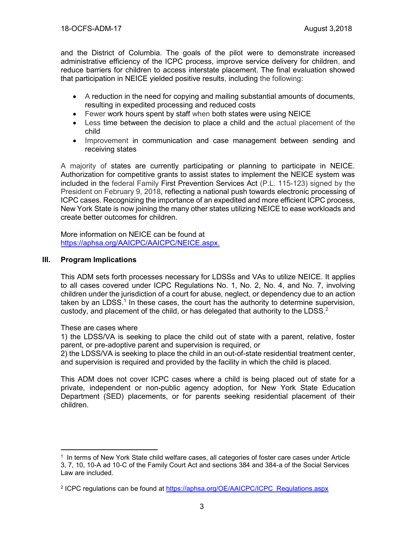and the District of Columbia. The goals of the pilot were to demonstrate increased administrative efficiency of the ICPC process, improve service delivery for children, and reduce barriers for children to access interstate placement. The final evaluation showed that participation in NEICE yielded positive results, including the following:

- A reduction in the need for copying and mailing substantial amounts of documents, resulting in expedited processing and reduced costs
- Fewer work hours spent by staff when both states were using NEICE
- Less time between the decision to place a child and the actual placement of the child
- Improvement in communication and case management between sending and receiving states

A majority of states are currently participating or planning to participate in NEICE. Authorization for competitive grants to assist states to implement the NEICE system was included in the federal Family First Prevention Services Act (P.L. 115-123) signed by the President on February 9, 2018, reflecting a national push towards electronic processing of ICPC cases. Recognizing the importance of an expedited and more efficient ICPC process, New York State is now joining the many other states utilizing NEICE to ease workloads and create better outcomes for children.

More information on NEICE can be found at [https://aphsa.org/AAICPC/AAICPC/NEICE.aspx.](https://aphsa.org/AAICPC/AAICPC/NEICE.aspx)

# **III. Program Implications**

This ADM sets forth processes necessary for LDSSs and VAs to utilize NEICE. It applies to all cases covered under ICPC Regulations No. 1, No. 2, No. 4, and No. 7, involving children under the jurisdiction of a court for abuse, neglect, or dependency due to an action taken by an LDSS.<sup>1</sup> In these cases, the court has the authority to determine supervision, custody, and placement of the child, or has delegated that authority to the LDSS. $2$ 

# These are cases where

 $\overline{a}$ 

1) the LDSS/VA is seeking to place the child out of state with a parent, relative, foster parent, or pre-adoptive parent and supervision is required, or

2) the LDSS/VA is seeking to place the child in an out-of-state residential treatment center, and supervision is required and provided by the facility in which the child is placed.

This ADM does not cover ICPC cases where a child is being placed out of state for a private, independent or non-public agency adoption, for New York State Education Department (SED) placements, or for parents seeking residential placement of their children.

<sup>1</sup> In terms of New York State child welfare cases, all categories of foster care cases under Article 3, 7, 10, 10-A ad 10-C of the Family Court Act and sections 384 and 384-a of the Social Services Law are included.

<sup>&</sup>lt;sup>2</sup> ICPC regulations can be found at [https://aphsa.org/OE/AAICPC/ICPC\\_Regulations.aspx](https://aphsa.org/OE/AAICPC/ICPC_Regulations.aspx)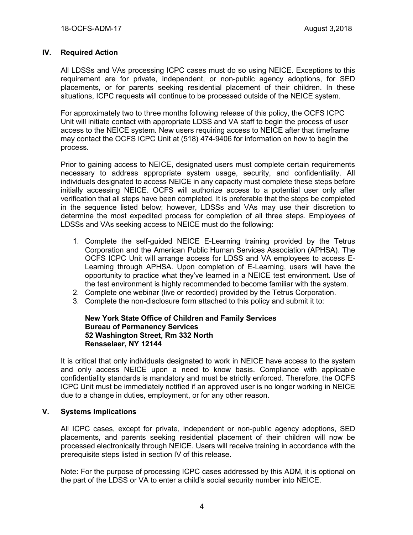# **IV. Required Action**

All LDSSs and VAs processing ICPC cases must do so using NEICE. Exceptions to this requirement are for private, independent, or non-public agency adoptions, for SED placements, or for parents seeking residential placement of their children. In these situations, ICPC requests will continue to be processed outside of the NEICE system.

For approximately two to three months following release of this policy, the OCFS ICPC Unit will initiate contact with appropriate LDSS and VA staff to begin the process of user access to the NEICE system. New users requiring access to NEICE after that timeframe may contact the OCFS ICPC Unit at (518) 474-9406 for information on how to begin the process.

Prior to gaining access to NEICE, designated users must complete certain requirements necessary to address appropriate system usage, security, and confidentiality. All individuals designated to access NEICE in any capacity must complete these steps before initially accessing NEICE. OCFS will authorize access to a potential user only after verification that all steps have been completed. It is preferable that the steps be completed in the sequence listed below; however, LDSSs and VAs may use their discretion to determine the most expedited process for completion of all three steps. Employees of LDSSs and VAs seeking access to NEICE must do the following:

- 1. Complete the self-guided NEICE E-Learning training provided by the Tetrus Corporation and the American Public Human Services Association (APHSA). The OCFS ICPC Unit will arrange access for LDSS and VA employees to access E-Learning through APHSA. Upon completion of E-Learning, users will have the opportunity to practice what they've learned in a NEICE test environment. Use of the test environment is highly recommended to become familiar with the system.
- 2. Complete one webinar (live or recorded) provided by the Tetrus Corporation.
- 3. Complete the non-disclosure form attached to this policy and submit it to:

### **New York State Office of Children and Family Services Bureau of Permanency Services 52 Washington Street, Rm 332 North Rensselaer, NY 12144**

It is critical that only individuals designated to work in NEICE have access to the system and only access NEICE upon a need to know basis. Compliance with applicable confidentiality standards is mandatory and must be strictly enforced. Therefore, the OCFS ICPC Unit must be immediately notified if an approved user is no longer working in NEICE due to a change in duties, employment, or for any other reason.

# **V. Systems Implications**

All ICPC cases, except for private, independent or non-public agency adoptions, SED placements, and parents seeking residential placement of their children will now be processed electronically through NEICE. Users will receive training in accordance with the prerequisite steps listed in section IV of this release.

Note: For the purpose of processing ICPC cases addressed by this ADM, it is optional on the part of the LDSS or VA to enter a child's social security number into NEICE.